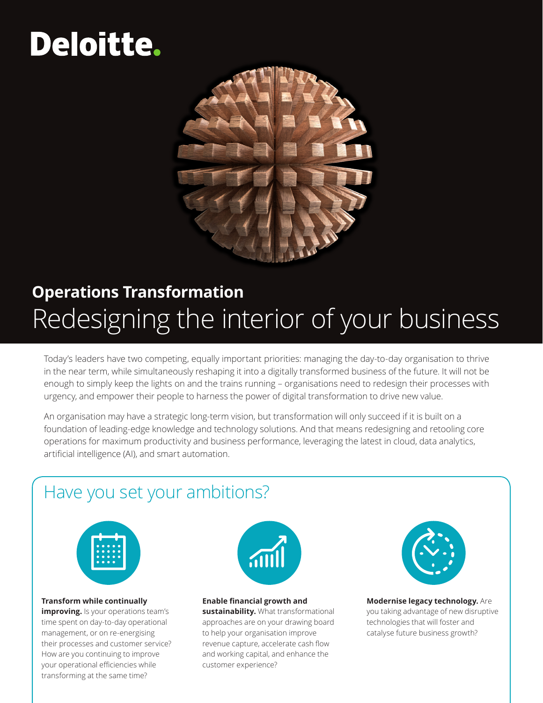# Deloitte.



## **Operations Transformation** Redesigning the interior of your business

Today's leaders have two competing, equally important priorities: managing the day-to-day organisation to thrive in the near term, while simultaneously reshaping it into a digitally transformed business of the future. It will not be enough to simply keep the lights on and the trains running – organisations need to redesign their processes with urgency, and empower their people to harness the power of digital transformation to drive new value.

An organisation may have a strategic long-term vision, but transformation will only succeed if it is built on a foundation of leading-edge knowledge and technology solutions. And that means redesigning and retooling core operations for maximum productivity and business performance, leveraging the latest in cloud, data analytics, artificial intelligence (AI), and smart automation.

### Have you set your ambitions?



#### **Transform while continually**

**improving.** Is your operations team's time spent on day-to-day operational management, or on re-energising their processes and customer service? How are you continuing to improve your operational efficiencies while transforming at the same time?



#### **Enable financial growth and**

**sustainability.** What transformational approaches are on your drawing board to help your organisation improve revenue capture, accelerate cash flow and working capital, and enhance the customer experience?



**Modernise legacy technology.** Are you taking advantage of new disruptive technologies that will foster and catalyse future business growth?